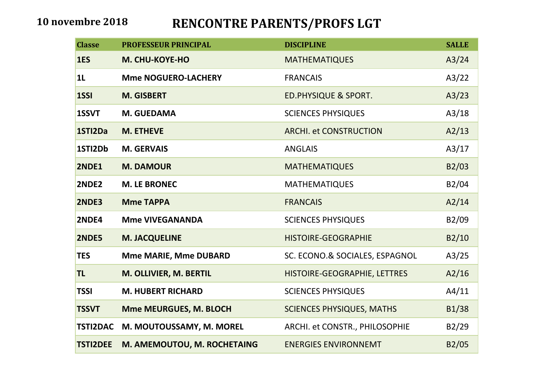## **10 novembre 2018 RENCONTRE PARENTS/PROFS LGT**

| <b>Classe</b>   | <b>PROFESSEUR PRINCIPAL</b>  | <b>DISCIPLINE</b><br><b>SALLE</b> |       |
|-----------------|------------------------------|-----------------------------------|-------|
| 1ES             | M. CHU-KOYE-HO               | <b>MATHEMATIQUES</b>              | A3/24 |
| 1 <sub>L</sub>  | <b>Mme NOGUERO-LACHERY</b>   | <b>FRANCAIS</b>                   | A3/22 |
| 1SSI            | <b>M. GISBERT</b>            | <b>ED.PHYSIQUE &amp; SPORT.</b>   | A3/23 |
| 1SSVT           | M. GUEDAMA                   | <b>SCIENCES PHYSIQUES</b>         | A3/18 |
| 1STI2Da         | <b>M. ETHEVE</b>             | <b>ARCHI. et CONSTRUCTION</b>     | A2/13 |
| 1STI2Db         | <b>M. GERVAIS</b>            | <b>ANGLAIS</b>                    | A3/17 |
| <b>2NDE1</b>    | <b>M. DAMOUR</b>             | <b>MATHEMATIQUES</b>              | B2/03 |
| 2NDE2           | <b>M. LE BRONEC</b>          | <b>MATHEMATIQUES</b>              | B2/04 |
| 2NDE3           | <b>Mme TAPPA</b>             | <b>FRANCAIS</b>                   | A2/14 |
| 2NDE4           | <b>Mme VIVEGANANDA</b>       | <b>SCIENCES PHYSIQUES</b>         | B2/09 |
| <b>2NDE5</b>    | <b>M. JACQUELINE</b>         | <b>HISTOIRE-GEOGRAPHIE</b>        | B2/10 |
| <b>TES</b>      | <b>Mme MARIE, Mme DUBARD</b> | SC. ECONO.& SOCIALES, ESPAGNOL    | A3/25 |
| <b>TL</b>       | M. OLLIVIER, M. BERTIL       | HISTOIRE-GEOGRAPHIE, LETTRES      | A2/16 |
| <b>TSSI</b>     | <b>M. HUBERT RICHARD</b>     | <b>SCIENCES PHYSIQUES</b>         | A4/11 |
| <b>TSSVT</b>    | Mme MEURGUES, M. BLOCH       | <b>SCIENCES PHYSIQUES, MATHS</b>  | B1/38 |
| <b>TSTI2DAC</b> | M. MOUTOUSSAMY, M. MOREL     | ARCHI. et CONSTR., PHILOSOPHIE    | B2/29 |
| <b>TSTI2DEE</b> | M. AMEMOUTOU, M. ROCHETAING  | <b>ENERGIES ENVIRONNEMT</b>       | B2/05 |